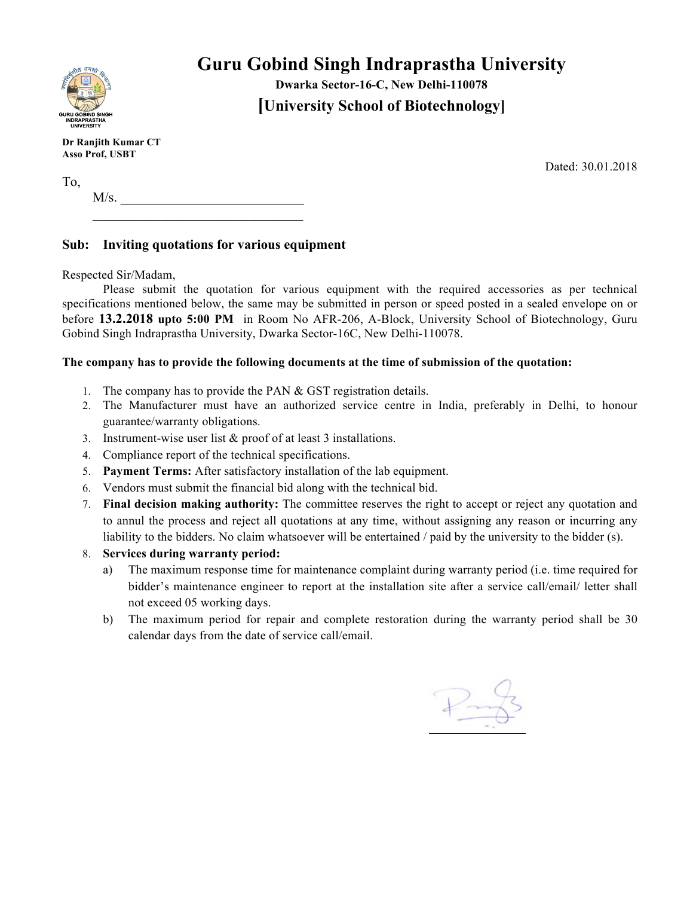

# **Guru Gobind Singh Indraprastha University**

**Dwarka Sector-16-C, New Delhi-110078 [University School of Biotechnology]**

**Dr Ranjith Kumar CT Asso Prof, USBT**

Dated: 30.01.2018

To,  $M/s$ .  $\mathcal{L}_\text{max}$ 

## **Sub: Inviting quotations for various equipment**

Respected Sir/Madam,

Please submit the quotation for various equipment with the required accessories as per technical specifications mentioned below, the same may be submitted in person or speed posted in a sealed envelope on or before **13.2.2018 upto 5:00 PM** in Room No AFR-206, A-Block, University School of Biotechnology, Guru Gobind Singh Indraprastha University, Dwarka Sector-16C, New Delhi-110078.

### **The company has to provide the following documents at the time of submission of the quotation:**

- 1. The company has to provide the PAN & GST registration details.
- 2. The Manufacturer must have an authorized service centre in India, preferably in Delhi, to honour guarantee/warranty obligations.
- 3. Instrument-wise user list & proof of at least 3 installations.
- 4. Compliance report of the technical specifications.
- 5. **Payment Terms:** After satisfactory installation of the lab equipment.
- 6. Vendors must submit the financial bid along with the technical bid.
- 7. **Final decision making authority:** The committee reserves the right to accept or reject any quotation and to annul the process and reject all quotations at any time, without assigning any reason or incurring any liability to the bidders. No claim whatsoever will be entertained / paid by the university to the bidder (s).
- 8. **Services during warranty period:** 
	- a) The maximum response time for maintenance complaint during warranty period (i.e. time required for bidder's maintenance engineer to report at the installation site after a service call/email/ letter shall not exceed 05 working days.
	- b) The maximum period for repair and complete restoration during the warranty period shall be 30 calendar days from the date of service call/email.